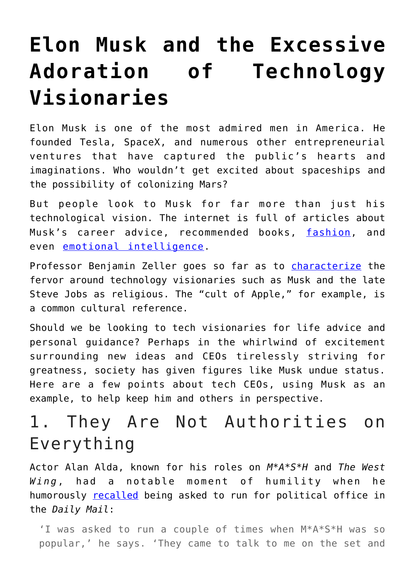# **[Elon Musk and the Excessive](https://intellectualtakeout.org/2018/07/elon-musk-and-the-excessive-adoration-of-technology-visionaries/) [Adoration of Technology](https://intellectualtakeout.org/2018/07/elon-musk-and-the-excessive-adoration-of-technology-visionaries/) [Visionaries](https://intellectualtakeout.org/2018/07/elon-musk-and-the-excessive-adoration-of-technology-visionaries/)**

Elon Musk is one of the most admired men in America. He founded Tesla, SpaceX, and numerous other entrepreneurial ventures that have captured the public's hearts and imaginations. Who wouldn't get excited about spaceships and the possibility of colonizing Mars?

But people look to Musk for far more than just his technological vision. The internet is full of articles about Musk's career advice, recommended books, [fashion,](https://www.therichest.com/high-life/how-elon-musk-transformed-his-fashion-style-from-nerd-to-ceo-dating-amber-heard-in-15-photos/) and even [emotional intelligence.](https://www.cnbc.com/2017/08/29/what-you-can-learn-from-elon-musk-about-emotional-intelligence.html)

Professor Benjamin Zeller goes so far as to *[characterize](https://divinity.uchicago.edu/sightings/steve-jobs-and-cult-apple-benjamin-e-zeller)* the fervor around technology visionaries such as Musk and the late Steve Jobs as religious. The "cult of Apple," for example, is a common cultural reference.

Should we be looking to tech visionaries for life advice and personal guidance? Perhaps in the whirlwind of excitement surrounding new ideas and CEOs tirelessly striving for greatness, society has given figures like Musk undue status. Here are a few points about tech CEOs, using Musk as an example, to help keep him and others in perspective.

## 1. They Are Not Authorities on Everything

Actor Alan Alda, known for his roles on *M\*A\*S\*H* and *The West Wing*, had a notable moment of humility when he humorously [recalled](http://www.dailymail.co.uk/femail/article-3121407/Fame-lose-mind-M-S-H-legend-Alan-Alda-pressure-catapulted-stardom-left-suffering-night-terrors-hallucinations.html) being asked to run for political office in the *Daily Mail*:

'I was asked to run a couple of times when M\*A\*S\*H was so popular,' he says. 'They came to talk to me on the set and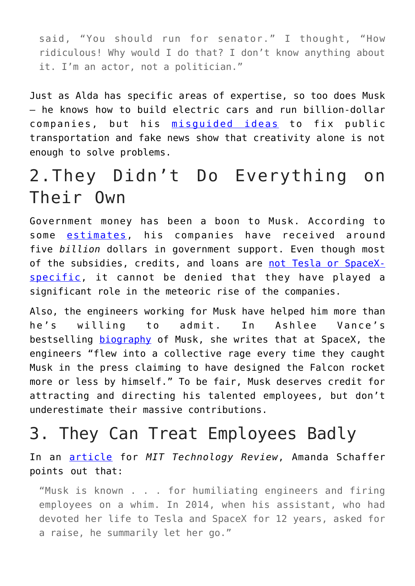said, "You should run for senator." I thought, "How ridiculous! Why would I do that? I don't know anything about it. I'm an actor, not a politician."

Just as Alda has specific areas of expertise, so too does Musk – he knows how to build electric cars and run billion-dollar companies, but his [misguided ideas](http://digg.com/2018/elon-musk-thai-sub) to fix public transportation and fake news show that creativity alone is not enough to solve problems.

### 2.They Didn't Do Everything on Their Own

Government money has been a boon to Musk. According to some **[estimates](http://www.businessinsider.com/steve-jobs-jerk-2011-10#steve-jobs-fired-the-guy-in-charge-of-mobileme-in-front-of-a-crowd-of-apple-employees-12)**, his companies have received around five *billion* dollars in government support. Even though most of the subsidies, credits, and loans are [not Tesla or SpaceX](https://cleantechnica.com/2018/02/18/tesla-subsidized-whats-truth-claims-tesla-spacex-elon-musk-wealth-exist-subsidies/)[specific](https://cleantechnica.com/2018/02/18/tesla-subsidized-whats-truth-claims-tesla-spacex-elon-musk-wealth-exist-subsidies/), it cannot be denied that they have played a significant role in the meteoric rise of the companies.

Also, the engineers working for Musk have helped him more than he's willing to admit. In Ashlee Vance's bestselling [biography](https://www.amazon.com/Elon-Musk-SpaceX-Fantastic-Future/dp/0062301233/ref=sr_1_2?ie=UTF8&qid=1531338205&sr=8-2&keywords=elon+musk) of Musk, she writes that at SpaceX, the engineers "flew into a collective rage every time they caught Musk in the press claiming to have designed the Falcon rocket more or less by himself." To be fair, Musk deserves credit for attracting and directing his talented employees, but don't underestimate their massive contributions.

#### 3. They Can Treat Employees Badly

In an [article](https://www.technologyreview.com/s/539861/techs-enduring-great-man-myth/) for *MIT Technology Review*, Amanda Schaffer points out that:

"Musk is known . . . for humiliating engineers and firing employees on a whim. In 2014, when his assistant, who had devoted her life to Tesla and SpaceX for 12 years, asked for a raise, he summarily let her go."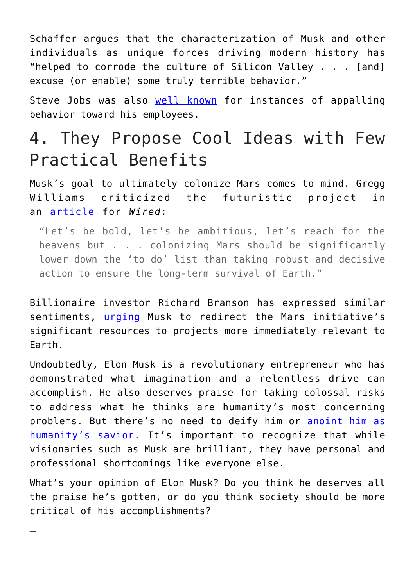Schaffer argues that the characterization of Musk and other individuals as unique forces driving modern history has "helped to corrode the culture of Silicon Valley . . . [and] excuse (or enable) some truly terrible behavior."

Steve Jobs was also [well known](http://www.businessinsider.com/steve-jobs-jerk-2011-10#steve-jobs-fired-the-guy-in-charge-of-mobileme-in-front-of-a-crowd-of-apple-employees-12) for instances of appalling behavior toward his employees.

### 4. They Propose Cool Ideas with Few Practical Benefits

Musk's goal to ultimately colonize Mars comes to mind. Gregg Williams criticized the futuristic project in an [article](http://www.wired.co.uk/article/elon-musk-mission-to-mars-silicon-valley-climate-change) for *Wired*:

"Let's be bold, let's be ambitious, let's reach for the heavens but . . . colonizing Mars should be significantly lower down the 'to do' list than taking robust and decisive action to ensure the long-term survival of Earth."

Billionaire investor Richard Branson has expressed similar sentiments, [urging](http://www.wired.co.uk/article/elon-musk-mission-to-mars-silicon-valley-climate-change) Musk to redirect the Mars initiative's significant resources to projects more immediately relevant to Earth.

Undoubtedly, Elon Musk is a revolutionary entrepreneur who has demonstrated what imagination and a relentless drive can accomplish. He also deserves praise for taking colossal risks to address what he thinks are humanity's most concerning problems. But there's no need to deify him or [anoint him as](https://www.unilad.co.uk/featured/elon-musk-is-the-saviour-humanity-needs/) [humanity's savior.](https://www.unilad.co.uk/featured/elon-musk-is-the-saviour-humanity-needs/) It's important to recognize that while visionaries such as Musk are brilliant, they have personal and professional shortcomings like everyone else.

What's your opinion of Elon Musk? Do you think he deserves all the praise he's gotten, or do you think society should be more critical of his accomplishments?

—